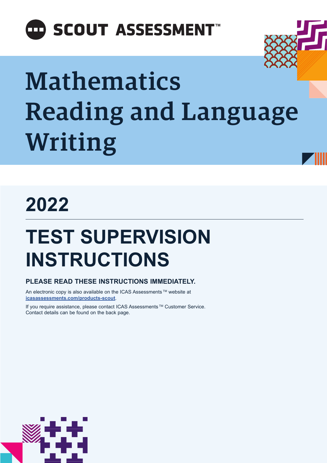## **ED SCOUT ASSESSMENT**

# Mathematics Reading and Language Writing

## **2022**

## **TEST SUPERVISION INSTRUCTIONS**

### **PLEASE READ THESE INSTRUCTIONS IMMEDIATELY.**

An electronic copy is also available on the ICAS Assessments ™ website at **[icasassessments.com/products-scout](https://www.icasassessments.com/products-scout)**.

If you require assistance, please contact ICAS Assessments ™ Customer Service. Contact details can be found on the back page.

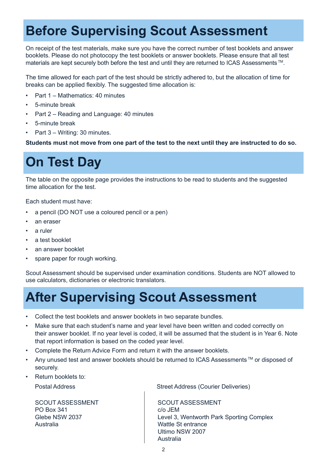## **Before Supervising Scout Assessment**

On receipt of the test materials, make sure you have the correct number of test booklets and answer booklets. Please do not photocopy the test booklets or answer booklets. Please ensure that all test materials are kept securely both before the test and until they are returned to ICAS Assessments<sup>™</sup>.

The time allowed for each part of the test should be strictly adhered to, but the allocation of time for breaks can be applied flexibly. The suggested time allocation is:

- Part 1 Mathematics: 40 minutes
- 5-minute break
- Part 2 Reading and Language: 40 minutes
- 5-minute break
- Part 3 Writing: 30 minutes.

**Students must not move from one part of the test to the next until they are instructed to do so.**

### **On Test Day**

The table on the opposite page provides the instructions to be read to students and the suggested time allocation for the test.

Each student must have:

- a pencil (DO NOT use a coloured pencil or a pen)
- an eraser
- a ruler
- a test booklet
- an answer booklet
- spare paper for rough working.

Scout Assessment should be supervised under examination conditions. Students are NOT allowed to use calculators, dictionaries or electronic translators.

### **After Supervising Scout Assessment**

- Collect the test booklets and answer booklets in two separate bundles.
- Make sure that each student's name and year level have been written and coded correctly on their answer booklet. If no year level is coded, it will be assumed that the student is in Year 6. Note that report information is based on the coded year level.
- Complete the Return Advice Form and return it with the answer booklets.
- Any unused test and answer booklets should be returned to ICAS Assessments™ or disposed of securely.
- Return booklets to:

SCOUT ASSESSMENT PO Box 341 Glebe NSW 2037 Australia

Postal Address **Street Address (Courier Deliveries)** 

SCOUT ASSESSMENT c/o JEM Level 3, Wentworth Park Sporting Complex Wattle St entrance Ultimo NSW 2007 Australia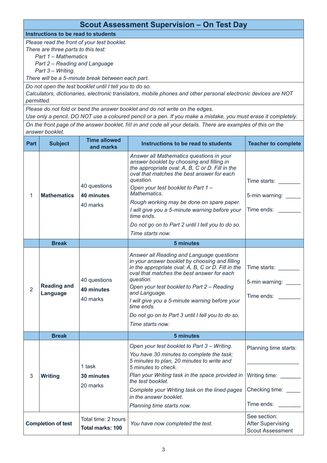### **Scout Assessment Supervision – On Test Day**

**Instructions to be read to students**

*Please read the front of your test booklet.*

*There are three parts to this test:*

*Part 1 – Mathematics*

*Part 2 – Reading and Language*

*Part 3 – Writing.*

*There will be a 5-minute break between each part.* 

*Do not open the test booklet until I tell you to do so.*

*Calculators, dictionaries, electronic translators, mobile phones and other personal electronic devices are NOT permitted.* 

*Please do not fold or bend the answer booklet and do not write on the edges.* 

*Use only a pencil. DO NOT use a coloured pencil or a pen. If you make a mistake, you must erase it completely.*

*On the front page of the answer booklet, fill in and code all your details. There are examples of this on the answer booklet.*

| Part                      | <b>Subject</b>                 | <b>Time allowed</b><br>and marks               | Instructions to be read to students                                                                                                                                                                                                                                                                                                                                                                                                             | <b>Teacher to complete</b>                                                   |
|---------------------------|--------------------------------|------------------------------------------------|-------------------------------------------------------------------------------------------------------------------------------------------------------------------------------------------------------------------------------------------------------------------------------------------------------------------------------------------------------------------------------------------------------------------------------------------------|------------------------------------------------------------------------------|
| 1                         | <b>Mathematics</b>             | 40 questions<br>40 minutes<br>40 marks         | Answer all Mathematics questions in your<br>answer booklet by choosing and filling in<br>the appropriate oval: A, B, C or D. Fill in the<br>oval that matches the best answer for each<br>question.<br>Open your test booklet to Part 1 -<br>Mathematics.<br>Rough working may be done on spare paper.<br>I will give you a 5-minute warning before your<br>time ends.<br>Do not go on to Part 2 until I tell you to do so.<br>Time starts now. | Time starts: Time starts<br>5-min warning:<br>Time ends: Time                |
|                           | <b>Break</b>                   |                                                | 5 minutes                                                                                                                                                                                                                                                                                                                                                                                                                                       |                                                                              |
| $\overline{2}$            | <b>Reading and</b><br>Language | 40 questions<br>40 minutes<br>40 marks         | Answer all Reading and Language questions<br>in your answer booklet by choosing and filling<br>in the appropriate oval: A, B, C or D. Fill in the<br>oval that matches the best answer for each<br>question.<br>Open your test booklet to Part 2 – Reading<br>and Language.<br>I will give you a 5-minute warning before your<br>time ends.<br>Do not go on to Part 3 until I tell you to do so.<br>Time starts now.                            | Time starts: ________<br>5-min warning: _____<br>Time ends:                  |
|                           | <b>Break</b>                   |                                                | 5 minutes                                                                                                                                                                                                                                                                                                                                                                                                                                       |                                                                              |
| 3                         | <b>Writing</b>                 | 1 task<br>30 minutes<br>20 marks               | Open your test booklet to Part 3 - Writing.<br>You have 30 minutes to complete the task:<br>5 minutes to plan, 20 minutes to write and<br>5 minutes to check.<br>Plan your Writing task in the space provided in<br>the test booklet.<br>Complete your Writing task on the lined pages<br>in the answer booklet.<br>Planning time starts now.                                                                                                   | Planning time starts:<br>Writing time:<br>Checking time: _____<br>Time ends: |
| <b>Completion of test</b> |                                | Total time: 2 hours<br><b>Total marks: 100</b> | You have now completed the test.                                                                                                                                                                                                                                                                                                                                                                                                                | See section:<br><b>After Supervising</b><br><b>Scout Assessment</b>          |